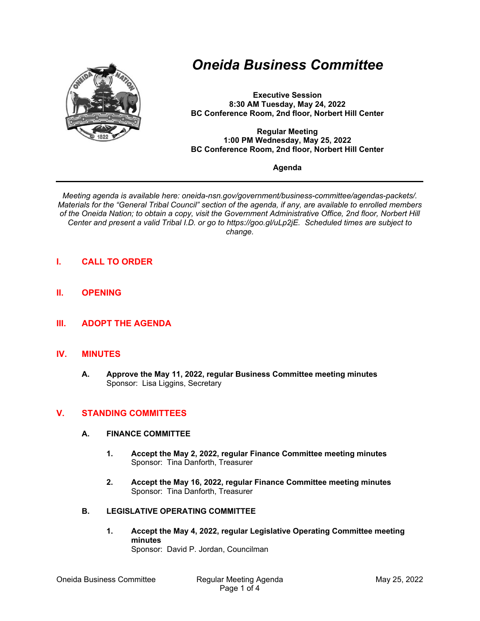

# *Oneida Business Committee*

**Executive Session 8:30 AM Tuesday, May 24, 2022 BC Conference Room, 2nd floor, Norbert Hill Center** 

**Regular Meeting 1:00 PM Wednesday, May 25, 2022 BC Conference Room, 2nd floor, Norbert Hill Center** 

#### **Agenda**

*Meeting agenda is available here: oneida-nsn.gov/government/business-committee/agendas-packets/. Materials for the "General Tribal Council" section of the agenda, if any, are available to enrolled members of the Oneida Nation; to obtain a copy, visit the Government Administrative Office, 2nd floor, Norbert Hill Center and present a valid Tribal I.D. or go to https://goo.gl/uLp2jE. Scheduled times are subject to change.*

- **I. CALL TO ORDER**
- **II. OPENING**
- **III. ADOPT THE AGENDA**

### **IV. MINUTES**

**A. Approve the May 11, 2022, regular Business Committee meeting minutes**  Sponsor: Lisa Liggins, Secretary

# **V. STANDING COMMITTEES**

#### **A. FINANCE COMMITTEE**

- **1. Accept the May 2, 2022, regular Finance Committee meeting minutes**  Sponsor: Tina Danforth, Treasurer
- **2. Accept the May 16, 2022, regular Finance Committee meeting minutes**  Sponsor: Tina Danforth, Treasurer

#### **B. LEGISLATIVE OPERATING COMMITTEE**

**1. Accept the May 4, 2022, regular Legislative Operating Committee meeting minutes**  Sponsor: David P. Jordan, Councilman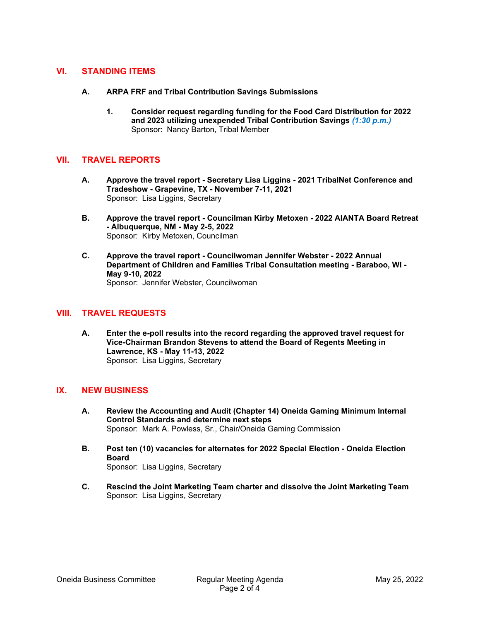# **VI. STANDING ITEMS**

- **A. ARPA FRF and Tribal Contribution Savings Submissions** 
	- **1. Consider request regarding funding for the Food Card Distribution for 2022 and 2023 utilizing unexpended Tribal Contribution Savings** *(1:30 p.m.)* Sponsor: Nancy Barton, Tribal Member

# **VII. TRAVEL REPORTS**

- **A. Approve the travel report Secretary Lisa Liggins 2021 TribalNet Conference and Tradeshow - Grapevine, TX - November 7-11, 2021**  Sponsor: Lisa Liggins, Secretary
- **B. Approve the travel report Councilman Kirby Metoxen 2022 AIANTA Board Retreat - Albuquerque, NM - May 2-5, 2022**  Sponsor: Kirby Metoxen, Councilman
- **C. Approve the travel report Councilwoman Jennifer Webster 2022 Annual Department of Children and Families Tribal Consultation meeting - Baraboo, WI - May 9-10, 2022**  Sponsor: Jennifer Webster, Councilwoman

## **VIII. TRAVEL REQUESTS**

**A. Enter the e-poll results into the record regarding the approved travel request for Vice-Chairman Brandon Stevens to attend the Board of Regents Meeting in Lawrence, KS - May 11-13, 2022**  Sponsor: Lisa Liggins, Secretary

### **IX. NEW BUSINESS**

- **A. Review the Accounting and Audit (Chapter 14) Oneida Gaming Minimum Internal Control Standards and determine next steps**  Sponsor: Mark A. Powless, Sr., Chair/Oneida Gaming Commission
- **B. Post ten (10) vacancies for alternates for 2022 Special Election Oneida Election Board**  Sponsor: Lisa Liggins, Secretary
- **C. Rescind the Joint Marketing Team charter and dissolve the Joint Marketing Team**  Sponsor: Lisa Liggins, Secretary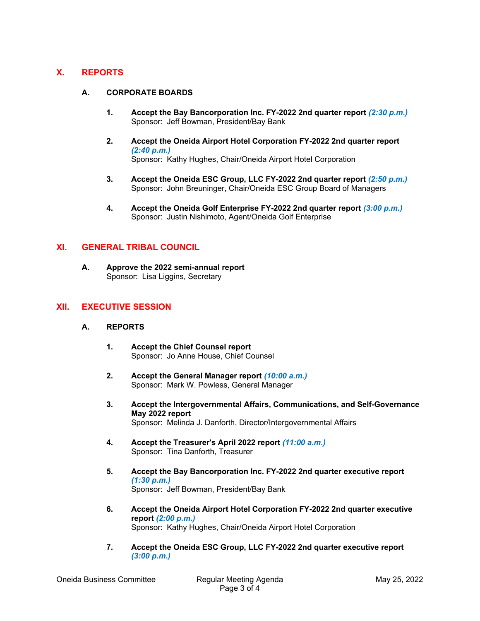# **X. REPORTS**

### **A. CORPORATE BOARDS**

- **1.** Accept the Bay Bancorporation Inc. FY-2022 2nd quarter report (2:30 p.m.) Sponsor: Jeff Bowman, President/Bay Bank
- **2. Accept the Oneida Airport Hotel Corporation FY-2022 2nd quarter report**  *(2:40 p.m.)* Sponsor: Kathy Hughes, Chair/Oneida Airport Hotel Corporation

- **3. Accept the Oneida ESC Group, LLC FY-2022 2nd quarter report** *(2:50 p.m.)* Sponsor: John Breuninger, Chair/Oneida ESC Group Board of Managers
- **4. Accept the Oneida Golf Enterprise FY-2022 2nd quarter report** *(3:00 p.m.)* Sponsor: Justin Nishimoto, Agent/Oneida Golf Enterprise

## **XI. GENERAL TRIBAL COUNCIL**

**A. Approve the 2022 semi-annual report**  Sponsor: Lisa Liggins, Secretary

## **XII. EXECUTIVE SESSION**

### **A. REPORTS**

- **1. Accept the Chief Counsel report**  Sponsor: Jo Anne House, Chief Counsel
- **2. Accept the General Manager report** *(10:00 a.m.)* Sponsor: Mark W. Powless, General Manager
- **3. Accept the Intergovernmental Affairs, Communications, and Self-Governance May 2022 report**  Sponsor: Melinda J. Danforth, Director/Intergovernmental Affairs
- **4. Accept the Treasurer's April 2022 report** *(11:00 a.m.)* Sponsor: Tina Danforth, Treasurer
- **5. Accept the Bay Bancorporation Inc. FY-2022 2nd quarter executive report**  *(1:30 p.m.)* Sponsor: Jeff Bowman, President/Bay Bank
- **6. Accept the Oneida Airport Hotel Corporation FY-2022 2nd quarter executive report** *(2:00 p.m.)* Sponsor: Kathy Hughes, Chair/Oneida Airport Hotel Corporation
- **7. Accept the Oneida ESC Group, LLC FY-2022 2nd quarter executive report**  *(3:00 p.m.)*